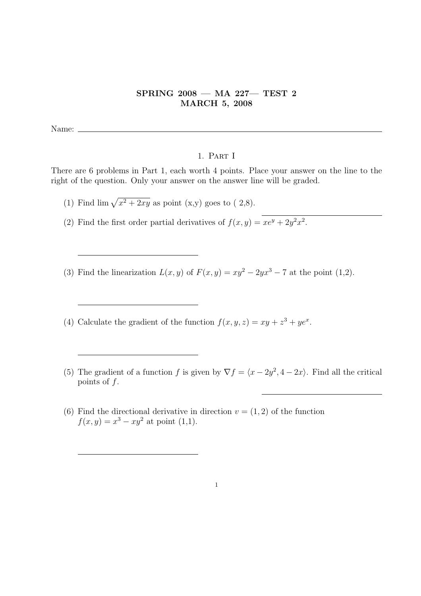## SPRING 2008 — MA 227— TEST 2 MARCH 5, 2008

Name:

## 1. Part I

There are 6 problems in Part 1, each worth 4 points. Place your answer on the line to the right of the question. Only your answer on the answer line will be graded.

(1) Find  $\lim \sqrt{x^2 + 2xy}$  as point (x,y) goes to ( 2,8).

(2) Find the first order partial derivatives of  $f(x, y) = xe^{y} + 2y^{2}x^{2}$ .

- (3) Find the linearization  $L(x, y)$  of  $F(x, y) = xy^2 2yx^3 7$  at the point (1,2).
- (4) Calculate the gradient of the function  $f(x, y, z) = xy + z^3 + ye^x$ .
- (5) The gradient of a function f is given by  $\nabla f = \langle x 2y^2, 4 2x \rangle$ . Find all the critical points of  $f$ .
- (6) Find the directional derivative in direction  $v = (1, 2)$  of the function  $f(x,y) = x^3 - xy^2$  at point (1,1).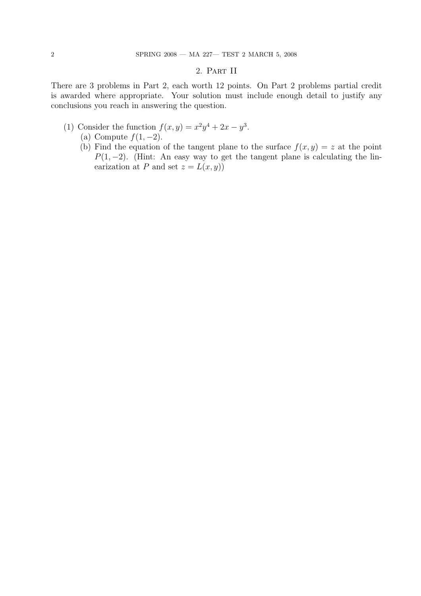## 2. Part II

There are 3 problems in Part 2, each worth 12 points. On Part 2 problems partial credit is awarded where appropriate. Your solution must include enough detail to justify any conclusions you reach in answering the question.

- (1) Consider the function  $f(x,y) = x^2y^4 + 2x y^3$ .
	- (a) Compute  $f(1, -2)$ .
	- (b) Find the equation of the tangent plane to the surface  $f(x, y) = z$  at the point  $P(1, -2)$ . (Hint: An easy way to get the tangent plane is calculating the linearization at P and set  $z = L(x, y)$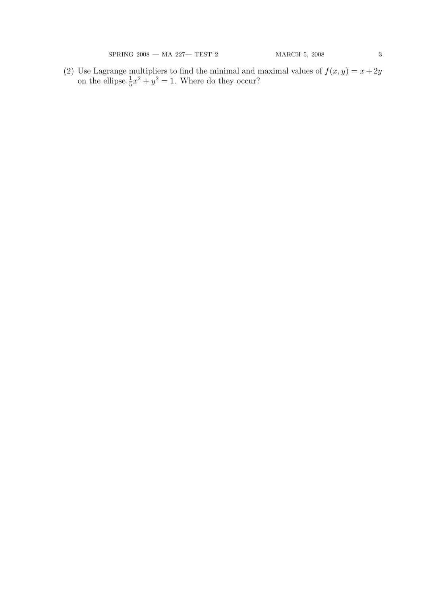$\begin{array}{lcl} \mathrm{SPRING} \ 2008\, \text{---} \ \mathrm{MA} \ 227 \text{---} \ \mathrm{TEST} \ 2 & \mathrm{MARCH} \ 5, \ 2008 & \phantom{0000}3 & \\ \end{array}$ 

(2) Use Lagrange multipliers to find the minimal and maximal values of  $f(x, y) = x + 2y$ on the ellipse  $\frac{1}{5}x^2 + y^2 = 1$ . Where do they occur?